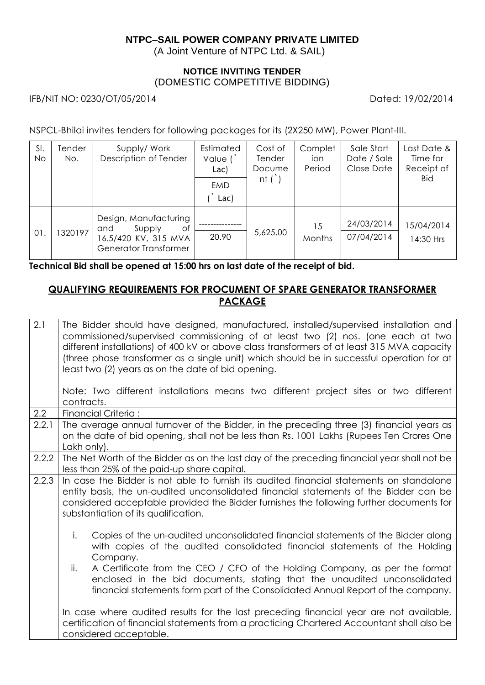# **NTPC–SAIL POWER COMPANY PRIVATE LIMITED**

(A Joint Venture of NTPC Ltd. & SAIL)

#### **NOTICE INVITING TENDER** (DOMESTIC COMPETITIVE BIDDING)

IFB/NIT NO: 0230/OT/05/2014 Dated: 19/02/2014

NSPCL-Bhilai invites tenders for following packages for its (2X250 MW), Power Plant-III.

| SI.<br>No. | Tender<br>No. | Supply/Work<br>Description of Tender                                                          | Estimated<br>Value $($<br>Lac)<br><b>EMD</b><br>Lac) | Cost of<br>Tender<br>Docume<br>nt $($ ) | Complet<br>ion<br>Period | Sale Start<br>Date / Sale<br>Close Date | Last Date &<br>Time for<br>Receipt of<br>Bid |
|------------|---------------|-----------------------------------------------------------------------------------------------|------------------------------------------------------|-----------------------------------------|--------------------------|-----------------------------------------|----------------------------------------------|
| 01.        | 1320197       | Design, Manufacturing<br>Supply<br>Оf<br>and<br>16.5/420 KV, 315 MVA<br>Generator Transformer | 20.90                                                | 5,625.00                                | 15<br>Months             | 24/03/2014<br>07/04/2014                | 15/04/2014<br>14:30 Hrs                      |

**Technical Bid shall be opened at 15:00 hrs on last date of the receipt of bid.**

# **QUALIFYING REQUIREMENTS FOR PROCUMENT OF SPARE GENERATOR TRANSFORMER PACKAGE**

| 2.1              | The Bidder should have designed, manufactured, installed/supervised installation and<br>commissioned/supervised commissioning of at least two (2) nos. (one each at two<br>different installations) of 400 kV or above class transformers of at least 315 MVA capacity<br>(three phase transformer as a single unit) which should be in successful operation for at<br>least two (2) years as on the date of bid opening.<br>Note: Two different installations means two different project sites or two different<br>contracts. |  |  |  |  |
|------------------|---------------------------------------------------------------------------------------------------------------------------------------------------------------------------------------------------------------------------------------------------------------------------------------------------------------------------------------------------------------------------------------------------------------------------------------------------------------------------------------------------------------------------------|--|--|--|--|
| $2.2\phantom{0}$ | Financial Criteria:                                                                                                                                                                                                                                                                                                                                                                                                                                                                                                             |  |  |  |  |
| 2.2.1            | The average annual turnover of the Bidder, in the preceding three (3) financial years as<br>on the date of bid opening, shall not be less than Rs. 1001 Lakhs (Rupees Ten Crores One<br>Lakh only).                                                                                                                                                                                                                                                                                                                             |  |  |  |  |
| 2.2.2            | The Net Worth of the Bidder as on the last day of the preceding financial year shall not be<br>less than 25% of the paid-up share capital.                                                                                                                                                                                                                                                                                                                                                                                      |  |  |  |  |
| 2.2.3            | In case the Bidder is not able to furnish its audited financial statements on standalone<br>entity basis, the un-audited unconsolidated financial statements of the Bidder can be<br>considered acceptable provided the Bidder furnishes the following further documents for<br>substantiation of its qualification.                                                                                                                                                                                                            |  |  |  |  |
|                  | i.<br>Copies of the un-audited unconsolidated financial statements of the Bidder along<br>with copies of the audited consolidated financial statements of the Holding<br>Company.                                                                                                                                                                                                                                                                                                                                               |  |  |  |  |
|                  | ii.<br>A Certificate from the CEO / CFO of the Holding Company, as per the format<br>enclosed in the bid documents, stating that the unaudited unconsolidated<br>financial statements form part of the Consolidated Annual Report of the company.                                                                                                                                                                                                                                                                               |  |  |  |  |
|                  | In case where audited results for the last preceding financial year are not available,<br>certification of financial statements from a practicing Chartered Accountant shall also be<br>considered acceptable.                                                                                                                                                                                                                                                                                                                  |  |  |  |  |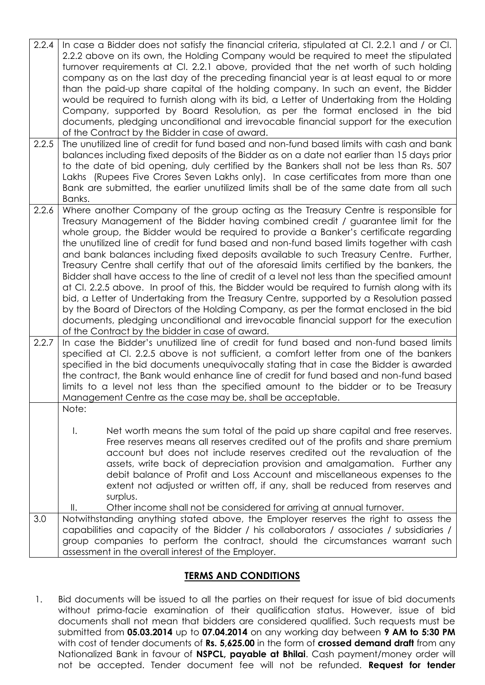| 2.2.4<br>2.2.5 | In case a Bidder does not satisfy the financial criteria, stipulated at CI. 2.2.1 and / or CI.<br>2.2.2 above on its own, the Holding Company would be required to meet the stipulated<br>turnover requirements at Cl. 2.2.1 above, provided that the net worth of such holding<br>company as on the last day of the preceding financial year is at least equal to or more<br>than the paid-up share capital of the holding company. In such an event, the Bidder<br>would be required to furnish along with its bid, a Letter of Undertaking from the Holding<br>Company, supported by Board Resolution, as per the format enclosed in the bid<br>documents, pledging unconditional and irrevocable financial support for the execution<br>of the Contract by the Bidder in case of award.<br>The unutilized line of credit for fund based and non-fund based limits with cash and bank                                                                                                                                                                                                    |  |  |
|----------------|---------------------------------------------------------------------------------------------------------------------------------------------------------------------------------------------------------------------------------------------------------------------------------------------------------------------------------------------------------------------------------------------------------------------------------------------------------------------------------------------------------------------------------------------------------------------------------------------------------------------------------------------------------------------------------------------------------------------------------------------------------------------------------------------------------------------------------------------------------------------------------------------------------------------------------------------------------------------------------------------------------------------------------------------------------------------------------------------|--|--|
|                | balances including fixed deposits of the Bidder as on a date not earlier than 15 days prior<br>to the date of bid opening, duly certified by the Bankers shall not be less than Rs. 507<br>Lakhs (Rupees Five Crores Seven Lakhs only). In case certificates from more than one<br>Bank are submitted, the earlier unutilized limits shall be of the same date from all such<br>Banks.                                                                                                                                                                                                                                                                                                                                                                                                                                                                                                                                                                                                                                                                                                      |  |  |
| 2.2.6          | Where another Company of the group acting as the Treasury Centre is responsible for<br>Treasury Management of the Bidder having combined credit / guarantee limit for the<br>whole group, the Bidder would be required to provide a Banker's certificate regarding<br>the unutilized line of credit for fund based and non-fund based limits together with cash<br>and bank balances including fixed deposits available to such Treasury Centre. Further,<br>Treasury Centre shall certify that out of the aforesaid limits certified by the bankers, the<br>Bidder shall have access to the line of credit of a level not less than the specified amount<br>at Cl. 2.2.5 above. In proof of this, the Bidder would be required to furnish along with its<br>bid, a Letter of Undertaking from the Treasury Centre, supported by a Resolution passed<br>by the Board of Directors of the Holding Company, as per the format enclosed in the bid<br>documents, pledging unconditional and irrevocable financial support for the execution<br>of the Contract by the bidder in case of award. |  |  |
| 2.2.7          | In case the Bidder's unutilized line of credit for fund based and non-fund based limits<br>specified at CI. 2.2.5 above is not sufficient, a comfort letter from one of the bankers<br>specified in the bid documents unequivocally stating that in case the Bidder is awarded<br>the contract, the Bank would enhance line of credit for fund based and non-fund based<br>limits to a level not less than the specified amount to the bidder or to be Treasury<br>Management Centre as the case may be, shall be acceptable.                                                                                                                                                                                                                                                                                                                                                                                                                                                                                                                                                               |  |  |
|                | Note:<br>Net worth means the sum total of the paid up share capital and free reserves.<br>Ι.<br>Free reserves means all reserves credited out of the profits and share premium<br>account but does not include reserves credited out the revaluation of the<br>assets, write back of depreciation provision and amalgamation. Further any<br>debit balance of Profit and Loss Account and miscellaneous expenses to the<br>extent not adjusted or written off, if any, shall be reduced from reserves and<br>surplus.<br>Other income shall not be considered for arriving at annual turnover.<br>$\parallel$ .                                                                                                                                                                                                                                                                                                                                                                                                                                                                             |  |  |
| 3.0            | Notwithstanding anything stated above, the Employer reserves the right to assess the<br>capabilities and capacity of the Bidder / his collaborators / associates / subsidiaries /<br>group companies to perform the contract, should the circumstances warrant such<br>assessment in the overall interest of the Employer.                                                                                                                                                                                                                                                                                                                                                                                                                                                                                                                                                                                                                                                                                                                                                                  |  |  |

# **TERMS AND CONDITIONS**

1. Bid documents will be issued to all the parties on their request for issue of bid documents without prima-facie examination of their qualification status. However, issue of bid documents shall not mean that bidders are considered qualified. Such requests must be submitted from **05.03.2014** up to **07.04.2014** on any working day between **9 AM to 5:30 PM** with cost of tender documents of **Rs. 5,625.00** in the form of **crossed demand draft** from any Nationalized Bank in favour of **NSPCL, payable at Bhilai**. Cash payment/money order will not be accepted. Tender document fee will not be refunded. **Request for tender**